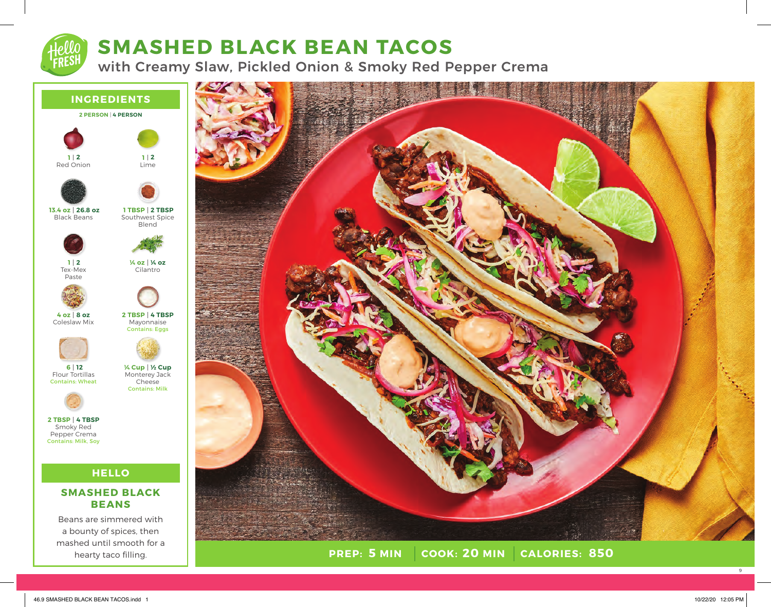

# **SMASHED BLACK BEAN TACOS**

with Creamy Slaw, Pickled Onion & Smoky Red Pepper Crema





**PREP: 5 MIN COOK:** 20 MIN **5 MIN 20 MIN 850**

9